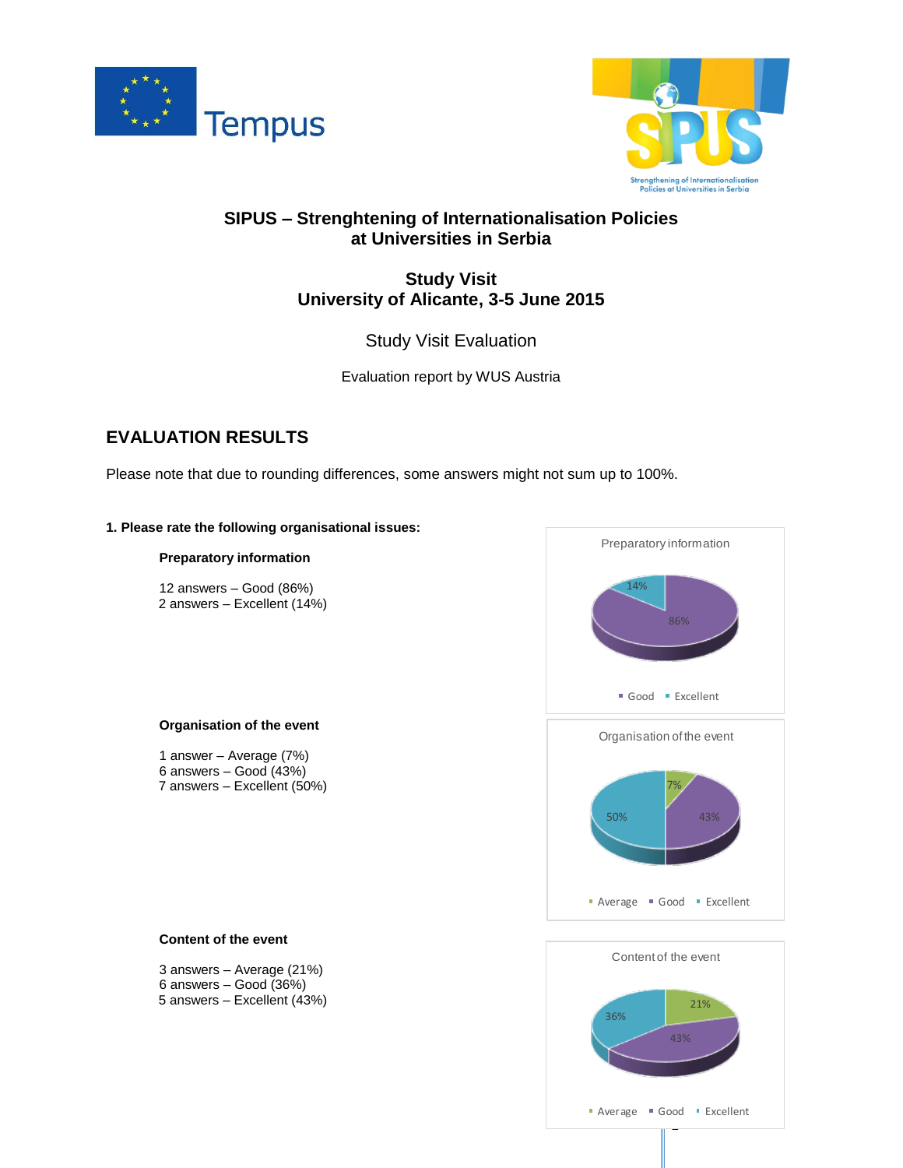



## **SIPUS – Strenghtening of Internationalisation Policies at Universities in Serbia**

## **Study Visit University of Alicante, 3-5 June 2015**

### Study Visit Evaluation

Evaluation report by WUS Austria

# **EVALUATION RESULTS**

Please note that due to rounding differences, some answers might not sum up to 100%.

#### **1. Please rate the following organisational issues:**

#### **Preparatory information**

12 answers – Good (86%) 2 answers – Excellent (14%)

#### **Organisation of the event**

1 answer – Average (7%) 6 answers – Good (43%) 7 answers – Excellent (50%)



# 1 21% 43% 36% Content of the event **Average Good Excellent**

#### **Content of the event**

3 answers – Average (21%) 6 answers – Good (36%) 5 answers – Excellent (43%)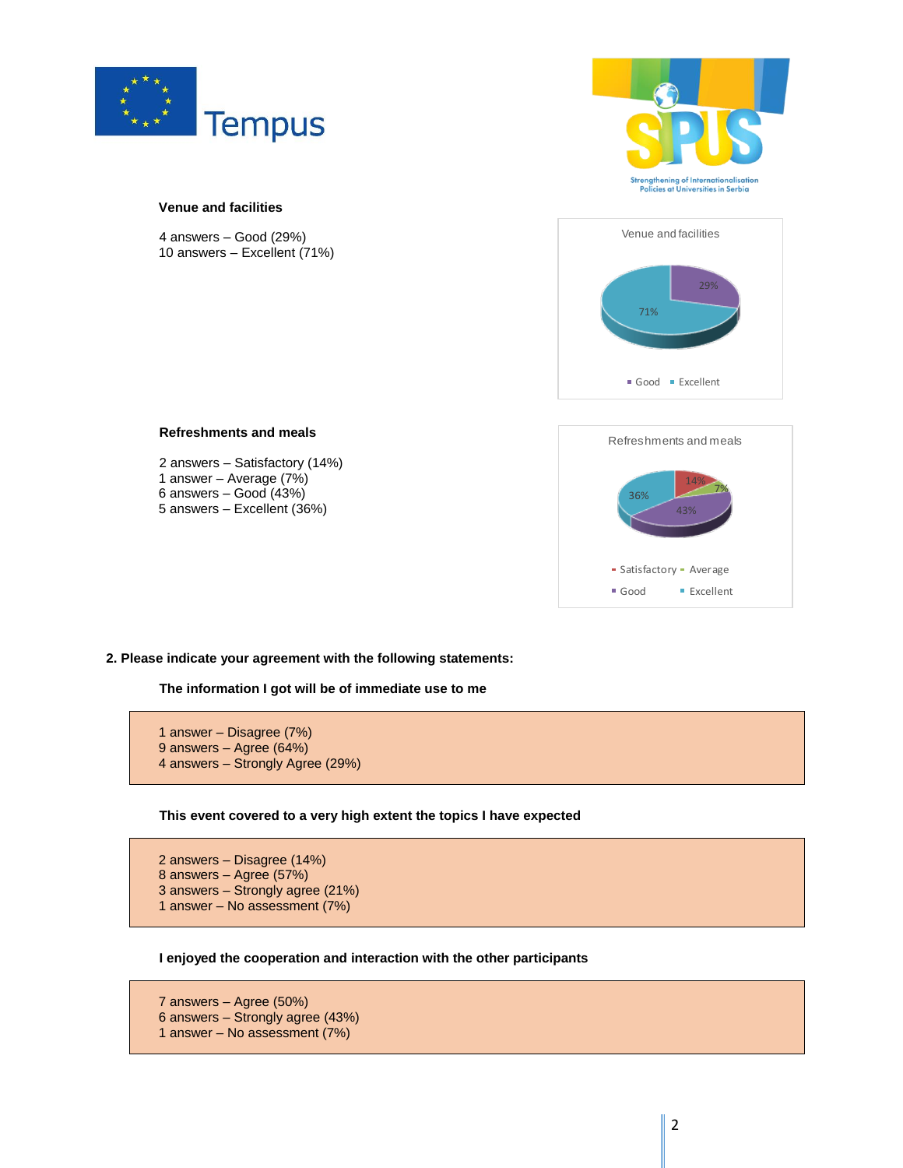

**Venue and facilities**

4 answers – Good (29%) 10 answers – Excellent (71%)





# 14% 7% 43% 36% Refreshments and meals • Satisfactory • Average Good Excellent

**Refreshments and meals**

2 answers – Satisfactory (14%) 1 answer – Average (7%) 6 answers – Good (43%) 5 answers – Excellent (36%)

**2. Please indicate your agreement with the following statements:**

**The information I got will be of immediate use to me**

1 answer – Disagree (7%) 9 answers – Agree (64%) 4 answers – Strongly Agree (29%)

**This event covered to a very high extent the topics I have expected**

2 answers – Disagree (14%) 8 answers – Agree (57%) 3 answers – Strongly agree (21%) 1 answer – No assessment (7%)

**I enjoyed the cooperation and interaction with the other participants**

7 answers – Agree (50%) 6 answers – Strongly agree (43%) 1 answer – No assessment (7%)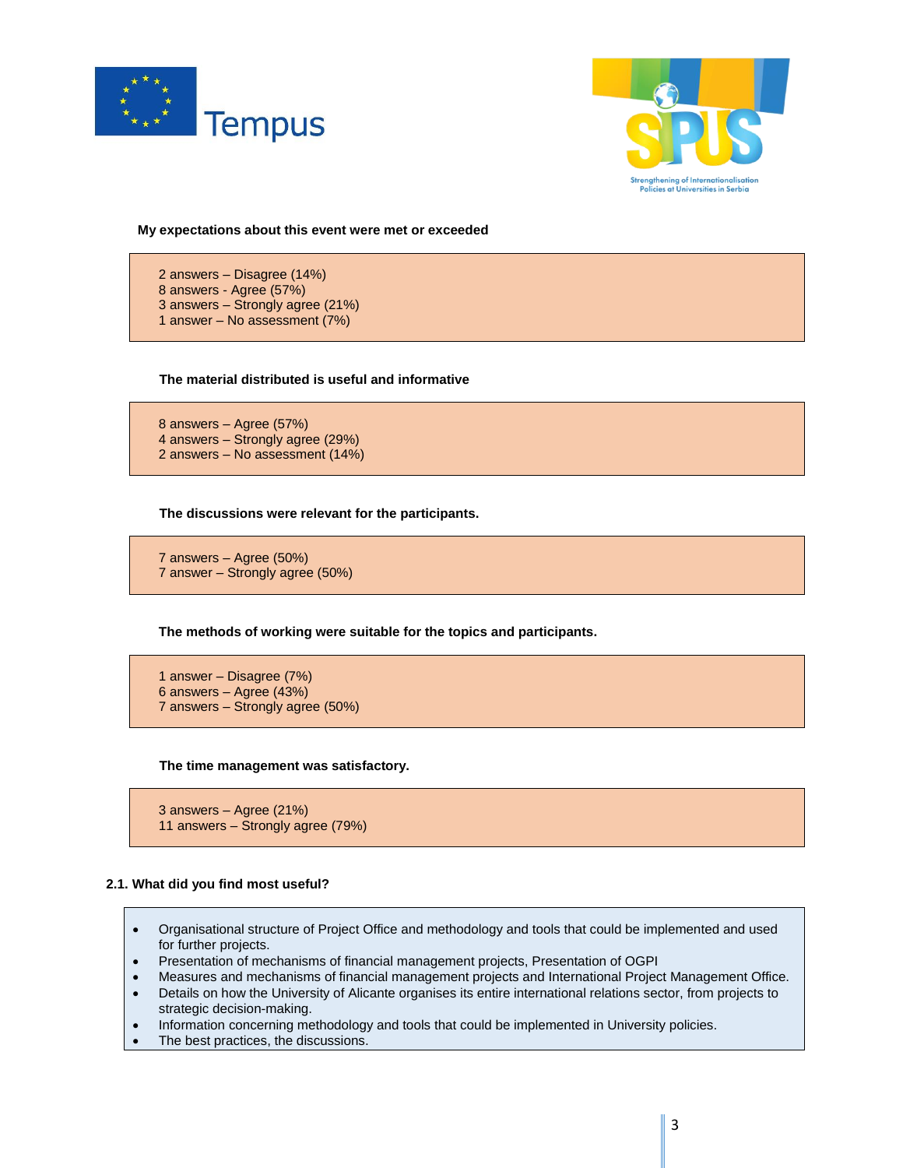



**My expectations about this event were met or exceeded**

2 answers – Disagree (14%) 8 answers - Agree (57%) 3 answers – Strongly agree (21%) 1 answer – No assessment (7%)

#### **The material distributed is useful and informative**

8 answers – Agree (57%) 4 answers – Strongly agree (29%) 2 answers – No assessment (14%)

**The discussions were relevant for the participants.**

7 answers – Agree (50%) 7 answer – Strongly agree (50%)

**The methods of working were suitable for the topics and participants.**

1 answer – Disagree (7%) 6 answers – Agree (43%) 7 answers – Strongly agree (50%)

**The time management was satisfactory.**

```
3 answers – Agree (21%)
11 answers – Strongly agree (79%)
```
#### **2.1. What did you find most useful?**

- Organisational structure of Project Office and methodology and tools that could be implemented and used for further projects.
- Presentation of mechanisms of financial management projects, Presentation of OGPI
- Measures and mechanisms of financial management projects and International Project Management Office.
- Details on how the University of Alicante organises its entire international relations sector, from projects to strategic decision-making.
- Information concerning methodology and tools that could be implemented in University policies.
- The best practices, the discussions.